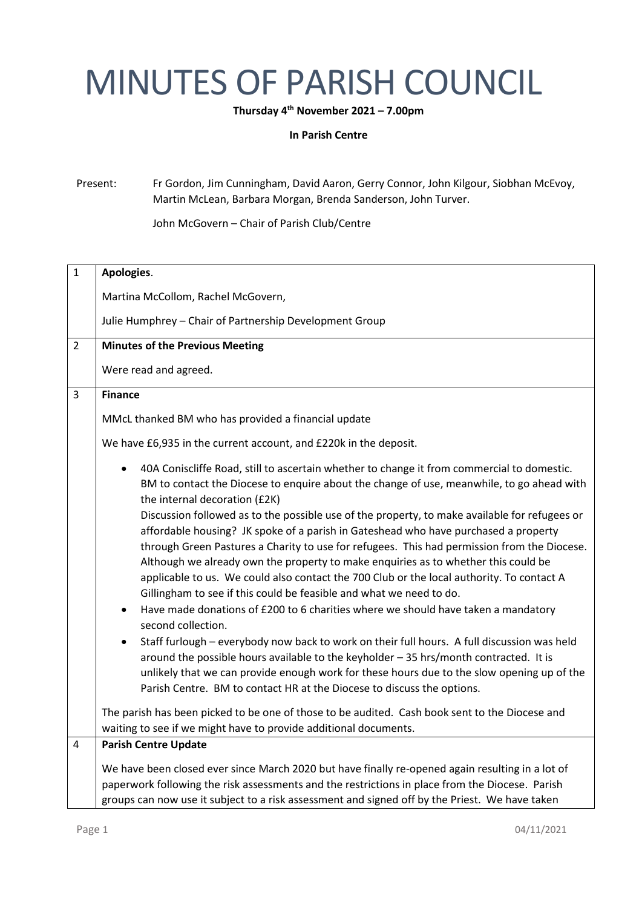## MINUTES OF PARISH COUNCIL

**Thursday 4 th November 2021 – 7.00pm**

**In Parish Centre**

Present: Fr Gordon, Jim Cunningham, David Aaron, Gerry Connor, John Kilgour, Siobhan McEvoy, Martin McLean, Barbara Morgan, Brenda Sanderson, John Turver.

John McGovern – Chair of Parish Club/Centre

| $\mathbf{1}$   | Apologies.                                                                                                                                                                                                                                                                                                                                                                                                                                                                                                                                    |
|----------------|-----------------------------------------------------------------------------------------------------------------------------------------------------------------------------------------------------------------------------------------------------------------------------------------------------------------------------------------------------------------------------------------------------------------------------------------------------------------------------------------------------------------------------------------------|
|                | Martina McCollom, Rachel McGovern,                                                                                                                                                                                                                                                                                                                                                                                                                                                                                                            |
|                | Julie Humphrey - Chair of Partnership Development Group                                                                                                                                                                                                                                                                                                                                                                                                                                                                                       |
| $\overline{2}$ | <b>Minutes of the Previous Meeting</b>                                                                                                                                                                                                                                                                                                                                                                                                                                                                                                        |
|                | Were read and agreed.                                                                                                                                                                                                                                                                                                                                                                                                                                                                                                                         |
| $\overline{3}$ | <b>Finance</b>                                                                                                                                                                                                                                                                                                                                                                                                                                                                                                                                |
|                | MMcL thanked BM who has provided a financial update                                                                                                                                                                                                                                                                                                                                                                                                                                                                                           |
|                | We have £6,935 in the current account, and £220k in the deposit.                                                                                                                                                                                                                                                                                                                                                                                                                                                                              |
|                | 40A Coniscliffe Road, still to ascertain whether to change it from commercial to domestic.<br>BM to contact the Diocese to enquire about the change of use, meanwhile, to go ahead with<br>the internal decoration (£2K)                                                                                                                                                                                                                                                                                                                      |
|                | Discussion followed as to the possible use of the property, to make available for refugees or<br>affordable housing? JK spoke of a parish in Gateshead who have purchased a property<br>through Green Pastures a Charity to use for refugees. This had permission from the Diocese.<br>Although we already own the property to make enquiries as to whether this could be<br>applicable to us. We could also contact the 700 Club or the local authority. To contact A<br>Gillingham to see if this could be feasible and what we need to do. |
|                | Have made donations of £200 to 6 charities where we should have taken a mandatory<br>second collection.                                                                                                                                                                                                                                                                                                                                                                                                                                       |
|                | Staff furlough - everybody now back to work on their full hours. A full discussion was held<br>around the possible hours available to the keyholder - 35 hrs/month contracted. It is<br>unlikely that we can provide enough work for these hours due to the slow opening up of the<br>Parish Centre. BM to contact HR at the Diocese to discuss the options.                                                                                                                                                                                  |
|                | The parish has been picked to be one of those to be audited. Cash book sent to the Diocese and<br>waiting to see if we might have to provide additional documents.                                                                                                                                                                                                                                                                                                                                                                            |
| 4              | <b>Parish Centre Update</b>                                                                                                                                                                                                                                                                                                                                                                                                                                                                                                                   |
|                | We have been closed ever since March 2020 but have finally re-opened again resulting in a lot of<br>paperwork following the risk assessments and the restrictions in place from the Diocese. Parish<br>groups can now use it subject to a risk assessment and signed off by the Priest. We have taken                                                                                                                                                                                                                                         |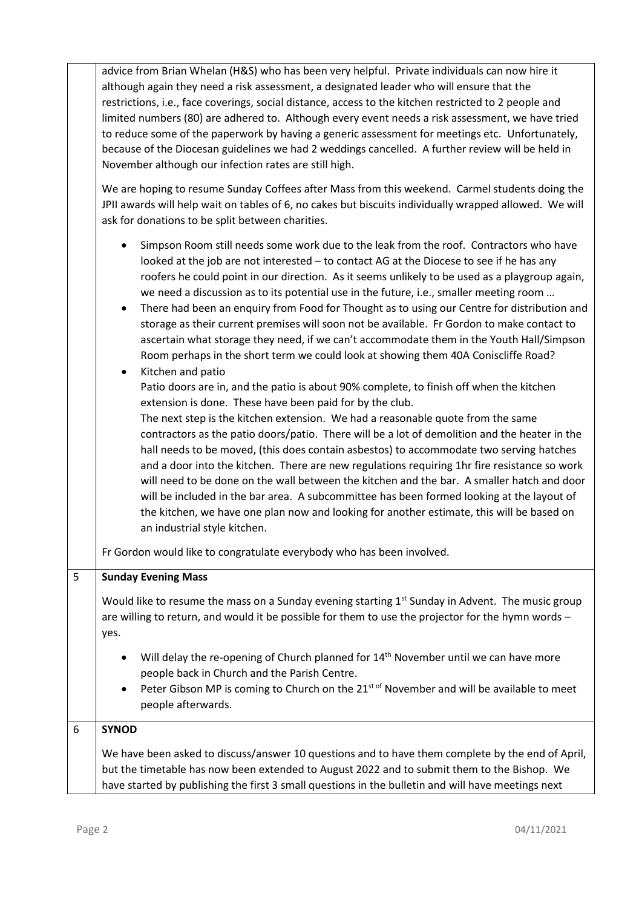advice from Brian Whelan (H&S) who has been very helpful. Private individuals can now hire it although again they need a risk assessment, a designated leader who will ensure that the restrictions, i.e., face coverings, social distance, access to the kitchen restricted to 2 people and limited numbers (80) are adhered to. Although every event needs a risk assessment, we have tried to reduce some of the paperwork by having a generic assessment for meetings etc. Unfortunately, because of the Diocesan guidelines we had 2 weddings cancelled. A further review will be held in November although our infection rates are still high.

We are hoping to resume Sunday Coffees after Mass from this weekend. Carmel students doing the JPII awards will help wait on tables of 6, no cakes but biscuits individually wrapped allowed. We will ask for donations to be split between charities.

- Simpson Room still needs some work due to the leak from the roof. Contractors who have looked at the job are not interested – to contact AG at the Diocese to see if he has any roofers he could point in our direction. As it seems unlikely to be used as a playgroup again, we need a discussion as to its potential use in the future, i.e., smaller meeting room …
- There had been an enquiry from Food for Thought as to using our Centre for distribution and storage as their current premises will soon not be available. Fr Gordon to make contact to ascertain what storage they need, if we can't accommodate them in the Youth Hall/Simpson Room perhaps in the short term we could look at showing them 40A Coniscliffe Road? • Kitchen and patio
	- Patio doors are in, and the patio is about 90% complete, to finish off when the kitchen extension is done. These have been paid for by the club.

The next step is the kitchen extension. We had a reasonable quote from the same contractors as the patio doors/patio. There will be a lot of demolition and the heater in the hall needs to be moved, (this does contain asbestos) to accommodate two serving hatches and a door into the kitchen. There are new regulations requiring 1hr fire resistance so work will need to be done on the wall between the kitchen and the bar. A smaller hatch and door will be included in the bar area. A subcommittee has been formed looking at the layout of the kitchen, we have one plan now and looking for another estimate, this will be based on an industrial style kitchen.

Fr Gordon would like to congratulate everybody who has been involved.

| 5 | <b>Sunday Evening Mass</b>                                                                                                                                                                                                                                                                                            |
|---|-----------------------------------------------------------------------------------------------------------------------------------------------------------------------------------------------------------------------------------------------------------------------------------------------------------------------|
|   | Would like to resume the mass on a Sunday evening starting $1st$ Sunday in Advent. The music group<br>are willing to return, and would it be possible for them to use the projector for the hymn words -<br>yes.                                                                                                      |
|   | Will delay the re-opening of Church planned for 14 <sup>th</sup> November until we can have more<br>$\bullet$<br>people back in Church and the Parish Centre.<br>Peter Gibson MP is coming to Church on the 21 <sup>st of</sup> November and will be available to meet<br>$\bullet$<br>people afterwards.             |
| 6 | <b>SYNOD</b><br>We have been asked to discuss/answer 10 questions and to have them complete by the end of April,<br>but the timetable has now been extended to August 2022 and to submit them to the Bishop. We<br>have started by publishing the first 3 small questions in the bulletin and will have meetings next |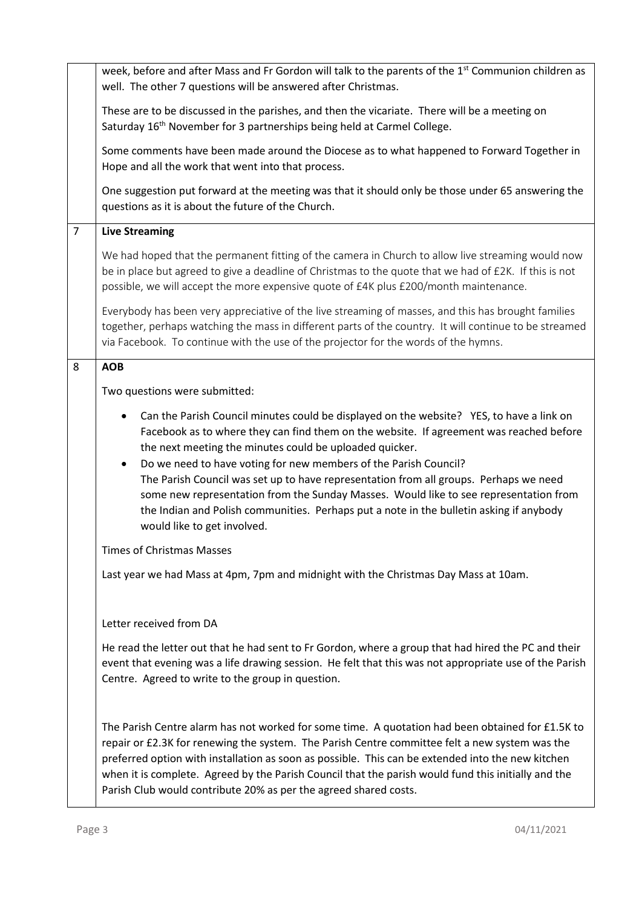|                | week, before and after Mass and Fr Gordon will talk to the parents of the 1 <sup>st</sup> Communion children as<br>well. The other 7 questions will be answered after Christmas.                                                                                                                                                                                                                                                                                                                                                                                                                                               |
|----------------|--------------------------------------------------------------------------------------------------------------------------------------------------------------------------------------------------------------------------------------------------------------------------------------------------------------------------------------------------------------------------------------------------------------------------------------------------------------------------------------------------------------------------------------------------------------------------------------------------------------------------------|
|                | These are to be discussed in the parishes, and then the vicariate. There will be a meeting on<br>Saturday 16 <sup>th</sup> November for 3 partnerships being held at Carmel College.                                                                                                                                                                                                                                                                                                                                                                                                                                           |
|                | Some comments have been made around the Diocese as to what happened to Forward Together in<br>Hope and all the work that went into that process.                                                                                                                                                                                                                                                                                                                                                                                                                                                                               |
|                | One suggestion put forward at the meeting was that it should only be those under 65 answering the<br>questions as it is about the future of the Church.                                                                                                                                                                                                                                                                                                                                                                                                                                                                        |
| $\overline{7}$ | <b>Live Streaming</b>                                                                                                                                                                                                                                                                                                                                                                                                                                                                                                                                                                                                          |
|                | We had hoped that the permanent fitting of the camera in Church to allow live streaming would now<br>be in place but agreed to give a deadline of Christmas to the quote that we had of £2K. If this is not<br>possible, we will accept the more expensive quote of £4K plus £200/month maintenance.                                                                                                                                                                                                                                                                                                                           |
|                | Everybody has been very appreciative of the live streaming of masses, and this has brought families<br>together, perhaps watching the mass in different parts of the country. It will continue to be streamed<br>via Facebook. To continue with the use of the projector for the words of the hymns.                                                                                                                                                                                                                                                                                                                           |
| 8              | <b>AOB</b>                                                                                                                                                                                                                                                                                                                                                                                                                                                                                                                                                                                                                     |
|                | Two questions were submitted:                                                                                                                                                                                                                                                                                                                                                                                                                                                                                                                                                                                                  |
|                | Can the Parish Council minutes could be displayed on the website? YES, to have a link on<br>Facebook as to where they can find them on the website. If agreement was reached before<br>the next meeting the minutes could be uploaded quicker.<br>Do we need to have voting for new members of the Parish Council?<br>The Parish Council was set up to have representation from all groups. Perhaps we need<br>some new representation from the Sunday Masses. Would like to see representation from<br>the Indian and Polish communities. Perhaps put a note in the bulletin asking if anybody<br>would like to get involved. |
|                | <b>Times of Christmas Masses</b>                                                                                                                                                                                                                                                                                                                                                                                                                                                                                                                                                                                               |
|                | Last year we had Mass at 4pm, 7pm and midnight with the Christmas Day Mass at 10am.                                                                                                                                                                                                                                                                                                                                                                                                                                                                                                                                            |
|                | Letter received from DA                                                                                                                                                                                                                                                                                                                                                                                                                                                                                                                                                                                                        |
|                | He read the letter out that he had sent to Fr Gordon, where a group that had hired the PC and their<br>event that evening was a life drawing session. He felt that this was not appropriate use of the Parish<br>Centre. Agreed to write to the group in question.                                                                                                                                                                                                                                                                                                                                                             |
|                | The Parish Centre alarm has not worked for some time. A quotation had been obtained for £1.5K to<br>repair or £2.3K for renewing the system. The Parish Centre committee felt a new system was the<br>preferred option with installation as soon as possible. This can be extended into the new kitchen<br>when it is complete. Agreed by the Parish Council that the parish would fund this initially and the<br>Parish Club would contribute 20% as per the agreed shared costs.                                                                                                                                             |